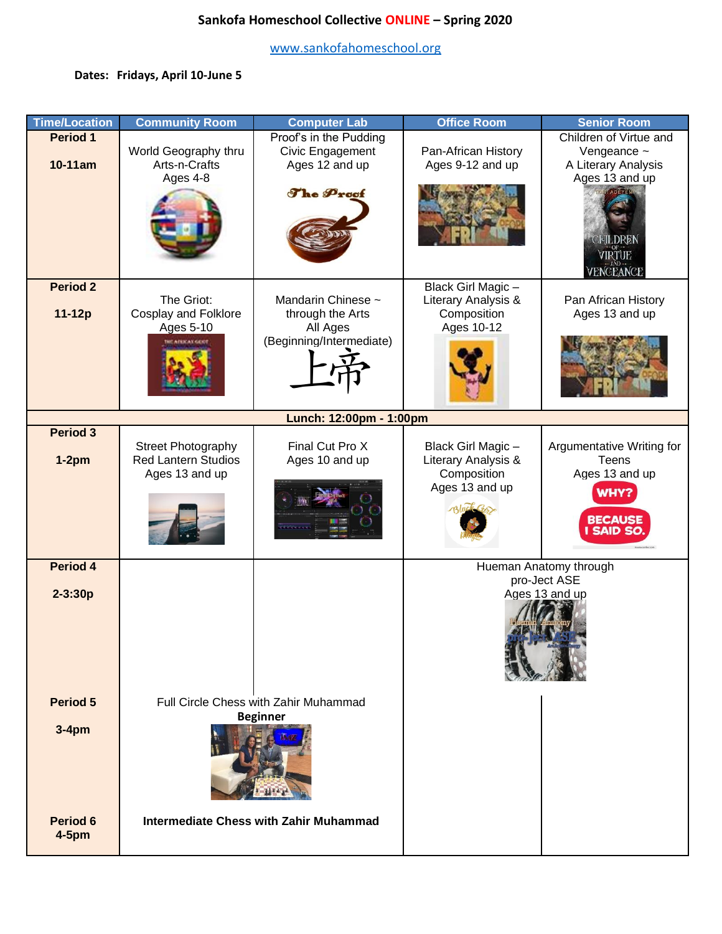# **Sankofa Homeschool Collective ONLINE – Spring 2020**

[www.sankofahomeschool.org](http://www.sankofahomeschool.org/)

# **Dates: Fridays, April 10-June 5**

| <b>Time/Location</b> | <b>Community Room</b>                                    | <b>Computer Lab</b>                    | <b>Office Room</b>     | <b>Senior Room</b>        |  |
|----------------------|----------------------------------------------------------|----------------------------------------|------------------------|---------------------------|--|
| <b>Period 1</b>      |                                                          | Proof's in the Pudding                 |                        | Children of Virtue and    |  |
|                      | World Geography thru                                     | Civic Engagement                       | Pan-African History    | Vengeance $\sim$          |  |
| 10-11am              | Arts-n-Crafts                                            | Ages 12 and up                         | Ages 9-12 and up       | A Literary Analysis       |  |
|                      | Ages 4-8                                                 |                                        |                        | Ages 13 and up            |  |
|                      |                                                          | The Proof                              |                        |                           |  |
|                      |                                                          |                                        |                        |                           |  |
|                      |                                                          |                                        |                        |                           |  |
|                      |                                                          |                                        |                        |                           |  |
|                      |                                                          |                                        |                        |                           |  |
|                      |                                                          |                                        |                        | NGEANCE                   |  |
| <b>Period 2</b>      |                                                          |                                        | Black Girl Magic-      |                           |  |
|                      | The Griot:                                               | Mandarin Chinese ~                     | Literary Analysis &    | Pan African History       |  |
| 11-12p               | <b>Cosplay and Folklore</b>                              | through the Arts                       | Composition            | Ages 13 and up            |  |
|                      | Ages 5-10                                                | All Ages                               | Ages 10-12             |                           |  |
|                      | <b>WE AFRICAN GENT</b>                                   | (Beginning/Intermediate)               |                        |                           |  |
|                      |                                                          |                                        |                        |                           |  |
|                      |                                                          |                                        |                        |                           |  |
|                      |                                                          |                                        |                        |                           |  |
|                      | Lunch: 12:00pm - 1:00pm                                  |                                        |                        |                           |  |
| <b>Period 3</b>      |                                                          |                                        |                        |                           |  |
|                      | Street Photography                                       | Final Cut Pro X                        | Black Girl Magic -     | Argumentative Writing for |  |
| $1-2pm$              | <b>Red Lantern Studios</b>                               | Ages 10 and up                         | Literary Analysis &    | <b>Teens</b>              |  |
|                      | Ages 13 and up                                           |                                        | Composition            | Ages 13 and up            |  |
|                      |                                                          |                                        | Ages 13 and up         | WHY?                      |  |
|                      |                                                          |                                        |                        |                           |  |
|                      |                                                          |                                        |                        | <b>BECAUSE</b>            |  |
|                      |                                                          |                                        |                        | <b>SAID SO</b>            |  |
|                      |                                                          |                                        |                        |                           |  |
| <b>Period 4</b>      |                                                          |                                        | Hueman Anatomy through |                           |  |
|                      | pro-Ject ASE                                             |                                        |                        |                           |  |
| $2 - 3:30p$          |                                                          | Ages 13 and up                         |                        |                           |  |
|                      |                                                          |                                        |                        |                           |  |
|                      |                                                          |                                        |                        |                           |  |
|                      |                                                          |                                        |                        |                           |  |
|                      |                                                          |                                        |                        |                           |  |
|                      |                                                          |                                        |                        |                           |  |
| Period 5             |                                                          |                                        |                        |                           |  |
|                      | Full Circle Chess with Zahir Muhammad<br><b>Beginner</b> |                                        |                        |                           |  |
| $3-4pm$              |                                                          |                                        |                        |                           |  |
|                      |                                                          |                                        |                        |                           |  |
|                      |                                                          |                                        |                        |                           |  |
|                      |                                                          |                                        |                        |                           |  |
|                      |                                                          |                                        |                        |                           |  |
|                      |                                                          |                                        |                        |                           |  |
| Period 6             |                                                          | Intermediate Chess with Zahir Muhammad |                        |                           |  |
| $4-5pm$              |                                                          |                                        |                        |                           |  |
|                      |                                                          |                                        |                        |                           |  |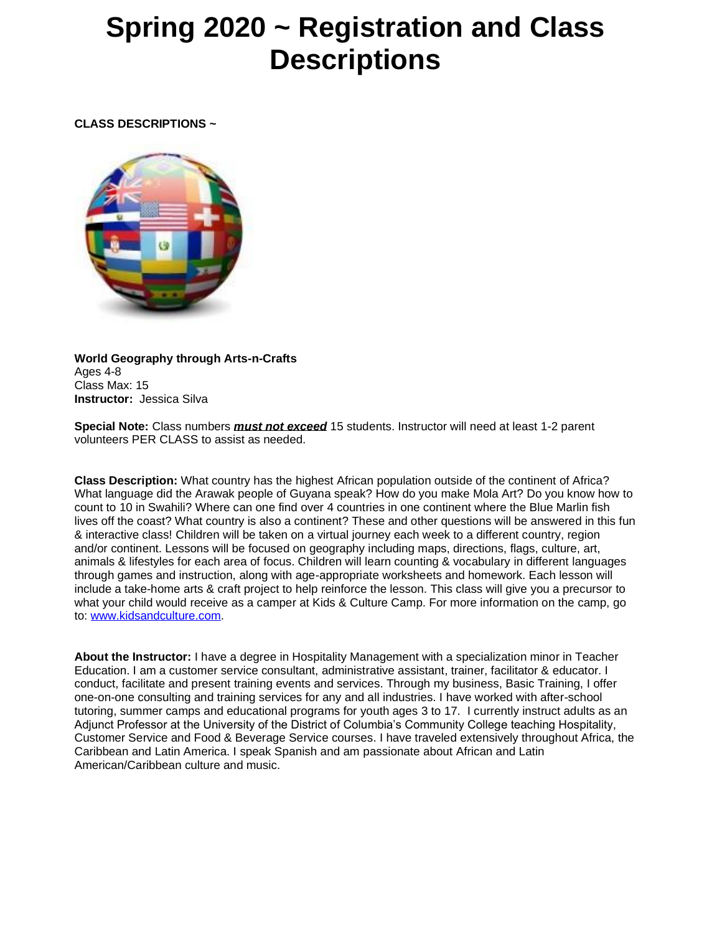# **Spring 2020 ~ Registration and Class Descriptions**

**CLASS DESCRIPTIONS ~**



**World Geography through Arts-n-Crafts** Ages 4-8 Class Max: 15 **Instructor:** Jessica Silva

**Special Note:** Class numbers *must not exceed* 15 students. Instructor will need at least 1-2 parent volunteers PER CLASS to assist as needed.

**Class Description:** What country has the highest African population outside of the continent of Africa? What language did the Arawak people of Guyana speak? How do you make Mola Art? Do you know how to count to 10 in Swahili? Where can one find over 4 countries in one continent where the Blue Marlin fish lives off the coast? What country is also a continent? These and other questions will be answered in this fun & interactive class! Children will be taken on a virtual journey each week to a different country, region and/or continent. Lessons will be focused on geography including maps, directions, flags, culture, art, animals & lifestyles for each area of focus. Children will learn counting & vocabulary in different languages through games and instruction, along with age-appropriate worksheets and homework. Each lesson will include a take-home arts & craft project to help reinforce the lesson. This class will give you a precursor to what your child would receive as a camper at Kids & Culture Camp. For more information on the camp, go to: [www.kidsandculture.com.](https://mailtrack.io/trace/link/328bbb266744051bcfd70d3f249c4a528d75efc2?url=https%3A%2F%2Fnam12.safelinks.protection.outlook.com%2F%3Furl%3Dhttps%253A%252F%252Fmailtrack.io%252Ftrace%252Flink%252Fa610e49a1a9c5bebe6b1378d14f0f27dd9f1f7a7%253Furl%253Dhttps%25253A%25252F%25252Feur04.safelinks.protection.outlook.com%25252F%25253Furl%25253Dhttp%2525253A%2525252F%2525252Fwww.kidsandculture.com%252526data%25253D02%2525257C01%2525257C%2525257Ca84e4e67c5f64f4684c408d743613e03%2525257C84df9e7fe9f640afb435aaaaaaaaaaaa%2525257C1%2525257C0%2525257C637051957261244476%252526sdata%25253DBg9m1oOmYqSsjpQXf4vLE0jJVK%2525252Fn8MNYKno6A9Rp2R8%2525253D%252526reserved%25253D0%2526userId%253D1431013%2526signature%253De0b6acb96ce7eed6%26data%3D02%257C01%257C%257C15b76d6248d74c3cf6a308d7436aef33%257C84df9e7fe9f640afb435aaaaaaaaaaaa%257C1%257C0%257C637051998869843958%26sdata%3DdJYBs3TVK4jgKycvAyhBDwnM6CQL4Pn%252FXcyXbr4ktTo%253D%26reserved%3D0&userId=1431013&signature=2f0b615b0bec4fd7)

**About the Instructor:** I have a degree in Hospitality Management with a specialization minor in Teacher Education. I am a customer service consultant, administrative assistant, trainer, facilitator & educator. I conduct, facilitate and present training events and services. Through my business, Basic Training, I offer one-on-one consulting and training services for any and all industries. I have worked with after-school tutoring, summer camps and educational programs for youth ages 3 to 17. I currently instruct adults as an Adjunct Professor at the University of the District of Columbia's Community College teaching Hospitality, Customer Service and Food & Beverage Service courses. I have traveled extensively throughout Africa, the Caribbean and Latin America. I speak Spanish and am passionate about African and Latin American/Caribbean culture and music.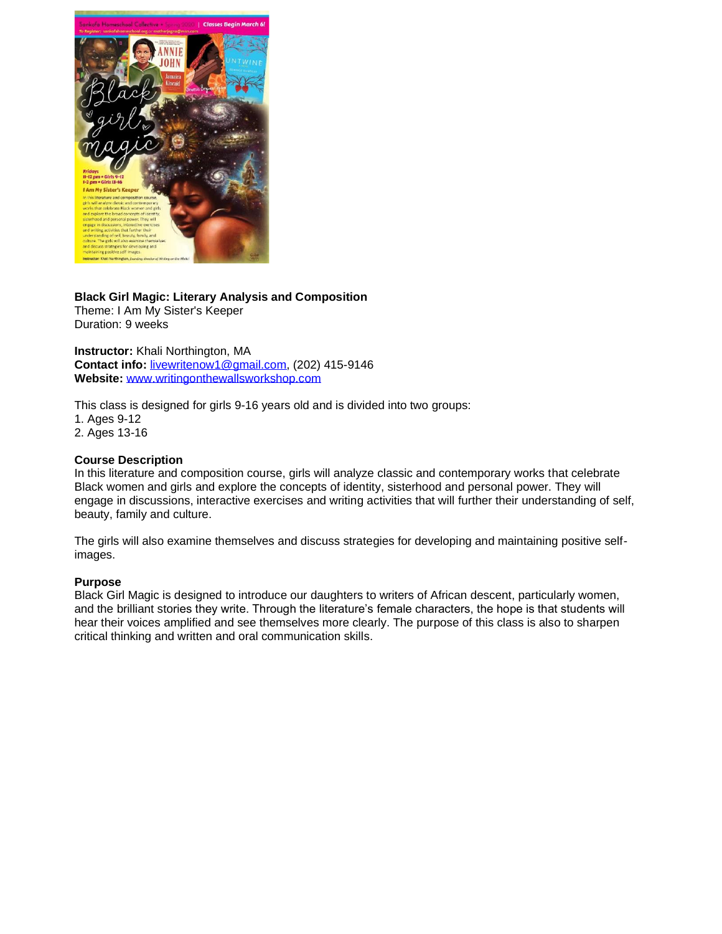

# **Black Girl Magic: Literary Analysis and Composition**

Theme: I Am My Sister's Keeper Duration: 9 weeks

**Instructor:** Khali Northington, MA **Contact info:** [livewritenow1@gmail.com,](mailto:livewritenow1@gmail.com) (202) 415-9146 **Website:** [www.writingonthewallsworkshop.com](https://mailtrack.io/trace/link/271e0af70ff491ff323e57018f284448a15b5a7e?url=https%3A%2F%2Fnam12.safelinks.protection.outlook.com%2F%3Furl%3Dhttps%253A%252F%252Fmailtrack.io%252Ftrace%252Flink%252F8a49fd32011d5afd1b55c93b4210dfba65a3e9ed%253Furl%253Dhttps%25253A%25252F%25252Feur04.safelinks.protection.outlook.com%25252F%25253Furl%25253Dhttp%2525253A%2525252F%2525252Fwww.writingonthewallsworkshop.com%252526data%25253D02%2525257C01%2525257C%2525257Ca84e4e67c5f64f4684c408d743613e03%2525257C84df9e7fe9f640afb435aaaaaaaaaaaa%2525257C1%2525257C0%2525257C637051957261234468%252526sdata%25253DJUYcyOaXPYWOie6pjrF5kFt%2525252Bnqs%2525252FbSRPxu7xSTUM%2525252B1o%2525253D%252526reserved%25253D0%2526userId%253D1431013%2526signature%253Dc4982114ea7bb1a7%26data%3D02%257C01%257C%257C15b76d6248d74c3cf6a308d7436aef33%257C84df9e7fe9f640afb435aaaaaaaaaaaa%257C1%257C0%257C637051998869823944%26sdata%3De6tzljZKKytVIJqwpv43bh7u8FbdNpspAS5AZMhAjAY%253D%26reserved%3D0&userId=1431013&signature=7ce4f2962ce03723)

This class is designed for girls 9-16 years old and is divided into two groups: 1. Ages 9-12 2. Ages 13-16

# **Course Description**

In this literature and composition course, girls will analyze classic and contemporary works that celebrate Black women and girls and explore the concepts of identity, sisterhood and personal power. They will engage in discussions, interactive exercises and writing activities that will further their understanding of self, beauty, family and culture.

The girls will also examine themselves and discuss strategies for developing and maintaining positive selfimages.

# **Purpose**

Black Girl Magic is designed to introduce our daughters to writers of African descent, particularly women, and the brilliant stories they write. Through the literature's female characters, the hope is that students will hear their voices amplified and see themselves more clearly. The purpose of this class is also to sharpen critical thinking and written and oral communication skills.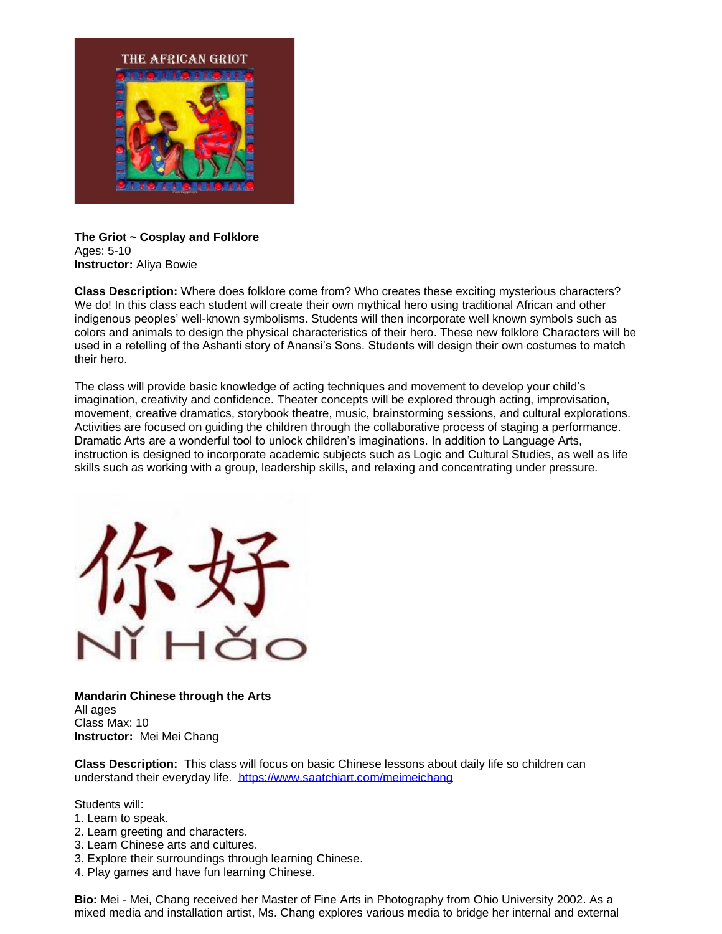

# **The Griot ~ Cosplay and Folklore** Ages: 5-10 **Instructor:** Aliya Bowie

**Class Description:** Where does folklore come from? Who creates these exciting mysterious characters? We do! In this class each student will create their own mythical hero using traditional African and other indigenous peoples' well-known symbolisms. Students will then incorporate well known symbols such as colors and animals to design the physical characteristics of their hero. These new folklore Characters will be used in a retelling of the Ashanti story of Anansi's Sons. Students will design their own costumes to match their hero.

The class will provide basic knowledge of acting techniques and movement to develop your child's imagination, creativity and confidence. Theater concepts will be explored through acting, improvisation, movement, creative dramatics, storybook theatre, music, brainstorming sessions, and cultural explorations. Activities are focused on guiding the children through the collaborative process of staging a performance. Dramatic Arts are a wonderful tool to unlock children's imaginations. In addition to Language Arts, instruction is designed to incorporate academic subjects such as Logic and Cultural Studies, as well as life skills such as working with a group, leadership skills, and relaxing and concentrating under pressure.



**Mandarin Chinese through the Arts** All ages Class Max: 10 **Instructor:** Mei Mei Chang

**Class Description:** This class will focus on basic Chinese lessons about daily life so children can understand their everyday life. [https://www.saatchiart.com/meimeichang](https://mailtrack.io/trace/link/04d5bf775dee1cdc14144741e738041751b2cbf6?url=https%3A%2F%2Fnam12.safelinks.protection.outlook.com%2F%3Furl%3Dhttps%253A%252F%252Fmailtrack.io%252Ftrace%252Flink%252F32b93f630effc949552dd22dd750f6d6827562ba%253Furl%253Dhttps%25253A%25252F%25252Feur04.safelinks.protection.outlook.com%25252F%25253Furl%25253Dhttps%2525253A%2525252F%2525252Fwww.saatchiart.com%2525252Fmeimeichang%252526data%25253D02%2525257C01%2525257C%2525257Ca84e4e67c5f64f4684c408d743613e03%2525257C84df9e7fe9f640afb435aaaaaaaaaaaa%2525257C1%2525257C0%2525257C637051957261244476%252526sdata%25253DLAnH6C5vWsdH11GLbN0W7Nc1qWKjNv0b5mHOK3gq1vc%2525253D%252526reserved%25253D0%2526userId%253D1431013%2526signature%253Dfcf0d72adff49895%26data%3D02%257C01%257C%257C15b76d6248d74c3cf6a308d7436aef33%257C84df9e7fe9f640afb435aaaaaaaaaaaa%257C1%257C0%257C637051998869833953%26sdata%3DxyeXG%252Bw%252FA6fn25bQyK4uYKixam5lUtlppskt6gTwfCE%253D%26reserved%3D0&userId=1431013&signature=e446da989ff5b29b)

Students will:

- 1. Learn to speak.
- 2. Learn greeting and characters.
- 3. Learn Chinese arts and cultures.
- 3. Explore their surroundings through learning Chinese.
- 4. Play games and have fun learning Chinese.

**Bio:** Mei - Mei, Chang received her Master of Fine Arts in Photography from Ohio University 2002. As a mixed media and installation artist, Ms. Chang explores various media to bridge her internal and external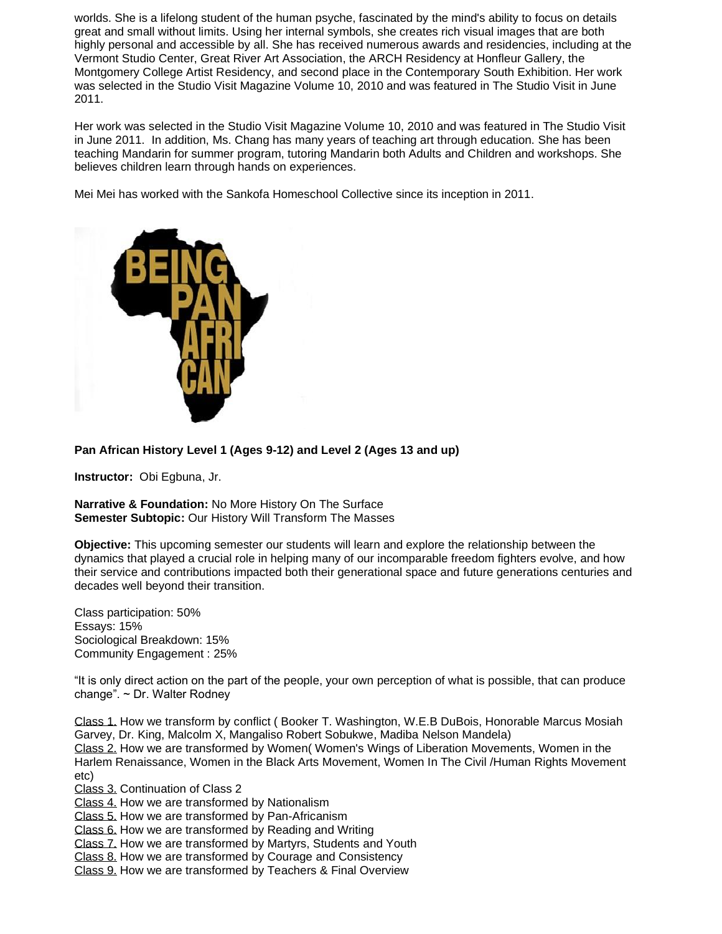worlds. She is a lifelong student of the human psyche, fascinated by the mind's ability to focus on details great and small without limits. Using her internal symbols, she creates rich visual images that are both highly personal and accessible by all. She has received numerous awards and residencies, including at the Vermont Studio Center, Great River Art Association, the ARCH Residency at Honfleur Gallery, the Montgomery College Artist Residency, and second place in the Contemporary South Exhibition. Her work was selected in the Studio Visit Magazine Volume 10, 2010 and was featured in The Studio Visit in June 2011.

Her work was selected in the Studio Visit Magazine Volume 10, 2010 and was featured in The Studio Visit in June 2011. In addition, Ms. Chang has many years of teaching art through education. She has been teaching Mandarin for summer program, tutoring Mandarin both Adults and Children and workshops. She believes children learn through hands on experiences.

Mei Mei has worked with the Sankofa Homeschool Collective since its inception in 2011.



**Pan African History Level 1 (Ages 9-12) and Level 2 (Ages 13 and up)**

**Instructor:** Obi Egbuna, Jr.

**Narrative & Foundation:** No More History On The Surface **Semester Subtopic:** Our History Will Transform The Masses

**Objective:** This upcoming semester our students will learn and explore the relationship between the dynamics that played a crucial role in helping many of our incomparable freedom fighters evolve, and how their service and contributions impacted both their generational space and future generations centuries and decades well beyond their transition.

Class participation: 50% Essays: 15% Sociological Breakdown: 15% Community Engagement : 25%

"It is only direct action on the part of the people, your own perception of what is possible, that can produce change". ~ Dr. Walter Rodney

Class 1. How we transform by conflict ( Booker T. Washington, W.E.B DuBois, Honorable Marcus Mosiah Garvey, Dr. King, Malcolm X, Mangaliso Robert Sobukwe, Madiba Nelson Mandela) Class 2. How we are transformed by Women( Women's Wings of Liberation Movements, Women in the Harlem Renaissance, Women in the Black Arts Movement, Women In The Civil /Human Rights Movement etc)

Class 3. Continuation of Class 2

Class 4. How we are transformed by Nationalism

Class 5. How we are transformed by Pan-Africanism

Class 6. How we are transformed by Reading and Writing

Class 7. How we are transformed by Martyrs, Students and Youth

Class 8. How we are transformed by Courage and Consistency

Class 9. How we are transformed by Teachers & Final Overview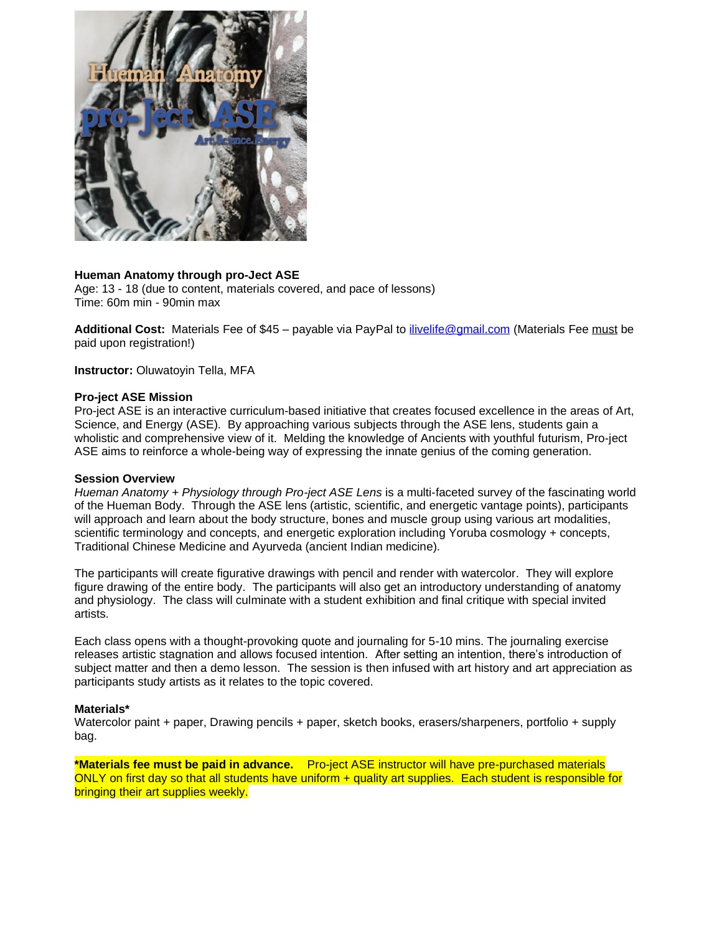

#### **Hueman Anatomy through pro-Ject ASE**

Age: 13 - 18 (due to content, materials covered, and pace of lessons) Time: 60m min - 90min max

**Additional Cost:** Materials Fee of \$45 – payable via PayPal to [ilivelife@gmail.com](mailto:ilivelife@gmail.com) (Materials Fee must be paid upon registration!)

**Instructor:** Oluwatoyin Tella, MFA

#### **Pro-ject ASE Mission**

Pro-ject ASE is an interactive curriculum-based initiative that creates focused excellence in the areas of Art, Science, and Energy (ASE). By approaching various subjects through the ASE lens, students gain a wholistic and comprehensive view of it. Melding the knowledge of Ancients with youthful futurism, Pro-ject ASE aims to reinforce a whole-being way of expressing the innate genius of the coming generation.

#### **Session Overview**

*Hueman Anatomy + Physiology through Pro-ject ASE Lens* is a multi-faceted survey of the fascinating world of the Hueman Body. Through the ASE lens (artistic, scientific, and energetic vantage points), participants will approach and learn about the body structure, bones and muscle group using various art modalities, scientific terminology and concepts, and energetic exploration including Yoruba cosmology + concepts, Traditional Chinese Medicine and Ayurveda (ancient Indian medicine).

The participants will create figurative drawings with pencil and render with watercolor. They will explore figure drawing of the entire body. The participants will also get an introductory understanding of anatomy and physiology. The class will culminate with a student exhibition and final critique with special invited artists.

Each class opens with a thought-provoking quote and journaling for 5-10 mins. The journaling exercise releases artistic stagnation and allows focused intention. After setting an intention, there's introduction of subject matter and then a demo lesson. The session is then infused with art history and art appreciation as participants study artists as it relates to the topic covered.

#### **Materials\***

Watercolor paint + paper, Drawing pencils + paper, sketch books, erasers/sharpeners, portfolio + supply bag.

**\*Materials fee must be paid in advance.** Pro-ject ASE instructor will have pre-purchased materials ONLY on first day so that all students have uniform + quality art supplies. Each student is responsible for bringing their art supplies weekly.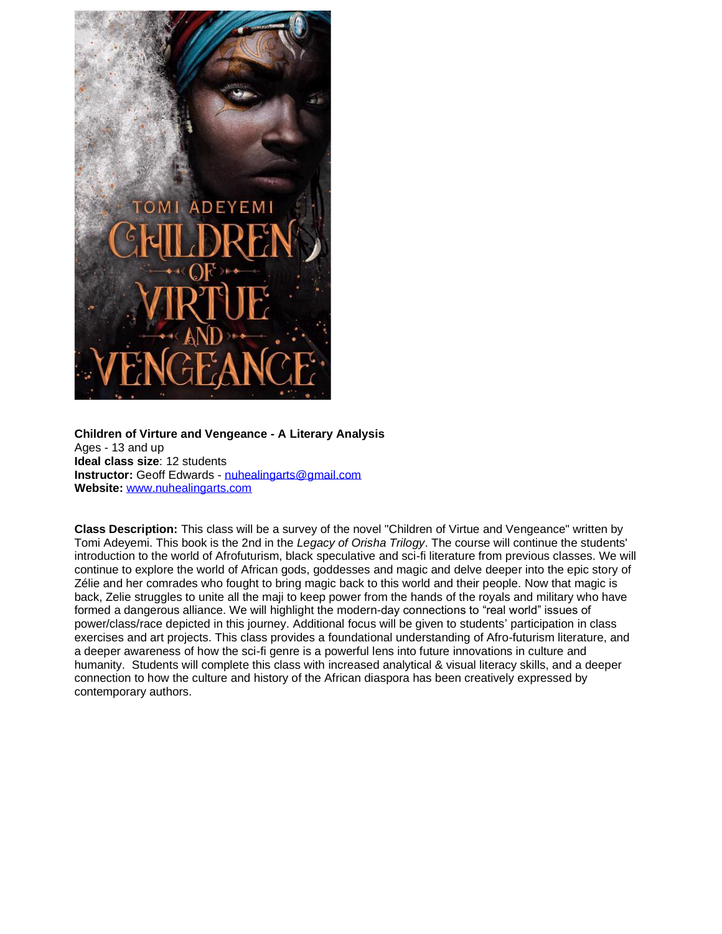

**Children of Virture and Vengeance - A Literary Analysis** Ages - 13 and up **Ideal class size**: 12 students **Instructor:** Geoff Edwards - [nuhealingarts@gmail.com](mailto:nuhealingarts@gmail.com) **Website:** [www.nuhealingarts.com](https://mailtrack.io/trace/link/502c58edbb1a289eedf74a0cfa16d74fa6e0ee0d?url=https%3A%2F%2Fnam12.safelinks.protection.outlook.com%2F%3Furl%3Dhttps%253A%252F%252Fmailtrack.io%252Ftrace%252Flink%252F406d4336b8b981be2452d65e3650fd959a72515b%253Furl%253Dhttp%25253A%25252F%25252Fwww.nuhealingarts.com%2526userId%253D1431013%2526signature%253Dcc366f7ed1491582%26data%3D02%257C01%257C%257C15b76d6248d74c3cf6a308d7436aef33%257C84df9e7fe9f640afb435aaaaaaaaaaaa%257C1%257C0%257C637051998869873972%26sdata%3DhPSedu8AfVBJgvsC1VKzg33ZTKcz0K14Vm01fe1AQQQ%253D%26reserved%3D0&userId=1431013&signature=fc3ea9c6b6dd51f8)

**Class Description:** This class will be a survey of the novel "Children of Virtue and Vengeance" written by Tomi Adeyemi. This book is the 2nd in the *Legacy of Orisha Trilogy*. The course will continue the students' introduction to the world of Afrofuturism, black speculative and sci-fi literature from previous classes. We will continue to explore the world of African gods, goddesses and magic and delve deeper into the epic story of Zélie and her comrades who fought to bring magic back to this world and their people. Now that magic is back, Zelie struggles to unite all the maji to keep power from the hands of the royals and military who have formed a dangerous alliance. We will highlight the modern-day connections to "real world" issues of power/class/race depicted in this journey. Additional focus will be given to students' participation in class exercises and art projects. This class provides a foundational understanding of Afro-futurism literature, and a deeper awareness of how the sci-fi genre is a powerful lens into future innovations in culture and humanity. Students will complete this class with increased analytical & visual literacy skills, and a deeper connection to how the culture and history of the African diaspora has been creatively expressed by contemporary authors.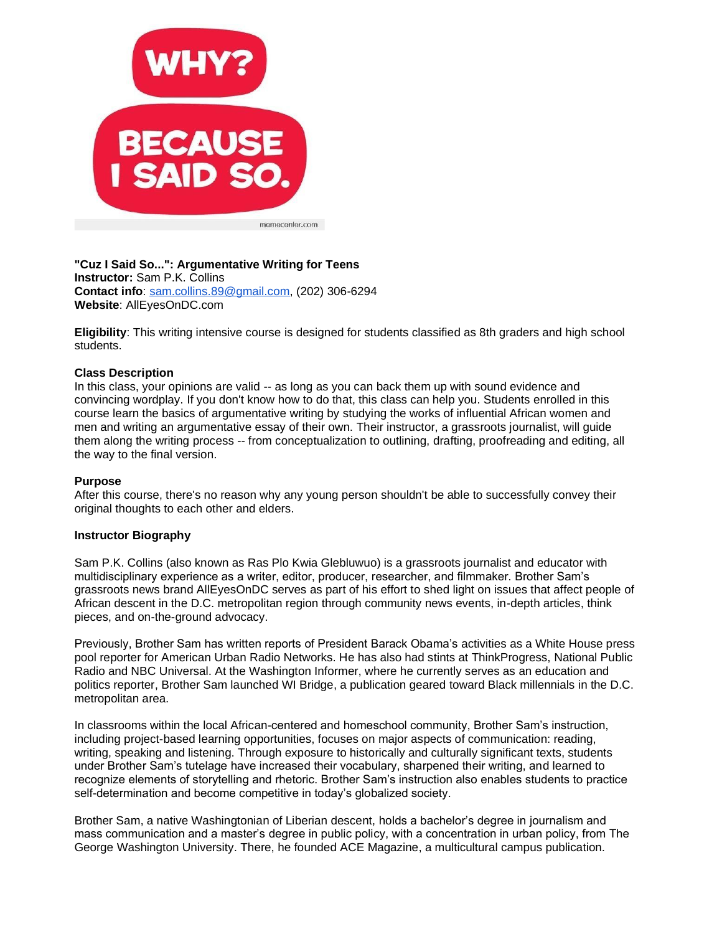

**"Cuz I Said So...": Argumentative Writing for Teens Instructor:** Sam P.K. Collins **Contact info**: [sam.collins.89@gmail.com,](mailto:sam.collins.89@gmail.com) (202) 306-6294 **Website**: AllEyesOnDC.com

**Eligibility**: This writing intensive course is designed for students classified as 8th graders and high school students.

#### **Class Description**

In this class, your opinions are valid -- as long as you can back them up with sound evidence and convincing wordplay. If you don't know how to do that, this class can help you. Students enrolled in this course learn the basics of argumentative writing by studying the works of influential African women and men and writing an argumentative essay of their own. Their instructor, a grassroots journalist, will guide them along the writing process -- from conceptualization to outlining, drafting, proofreading and editing, all the way to the final version.

#### **Purpose**

After this course, there's no reason why any young person shouldn't be able to successfully convey their original thoughts to each other and elders.

#### **Instructor Biography**

Sam P.K. Collins (also known as Ras Plo Kwia Glebluwuo) is a grassroots journalist and educator with multidisciplinary experience as a writer, editor, producer, researcher, and filmmaker. Brother Sam's grassroots news brand AllEyesOnDC serves as part of his effort to shed light on issues that affect people of African descent in the D.C. metropolitan region through community news events, in-depth articles, think pieces, and on-the-ground advocacy.

Previously, Brother Sam has written reports of President Barack Obama's activities as a White House press pool reporter for American Urban Radio Networks. He has also had stints at ThinkProgress, National Public Radio and NBC Universal. At the Washington Informer, where he currently serves as an education and politics reporter, Brother Sam launched WI Bridge, a publication geared toward Black millennials in the D.C. metropolitan area.

In classrooms within the local African-centered and homeschool community, Brother Sam's instruction, including project-based learning opportunities, focuses on major aspects of communication: reading, writing, speaking and listening. Through exposure to historically and culturally significant texts, students under Brother Sam's tutelage have increased their vocabulary, sharpened their writing, and learned to recognize elements of storytelling and rhetoric. Brother Sam's instruction also enables students to practice self-determination and become competitive in today's globalized society.

Brother Sam, a native Washingtonian of Liberian descent, holds a bachelor's degree in journalism and mass communication and a master's degree in public policy, with a concentration in urban policy, from The George Washington University. There, he founded ACE Magazine, a multicultural campus publication.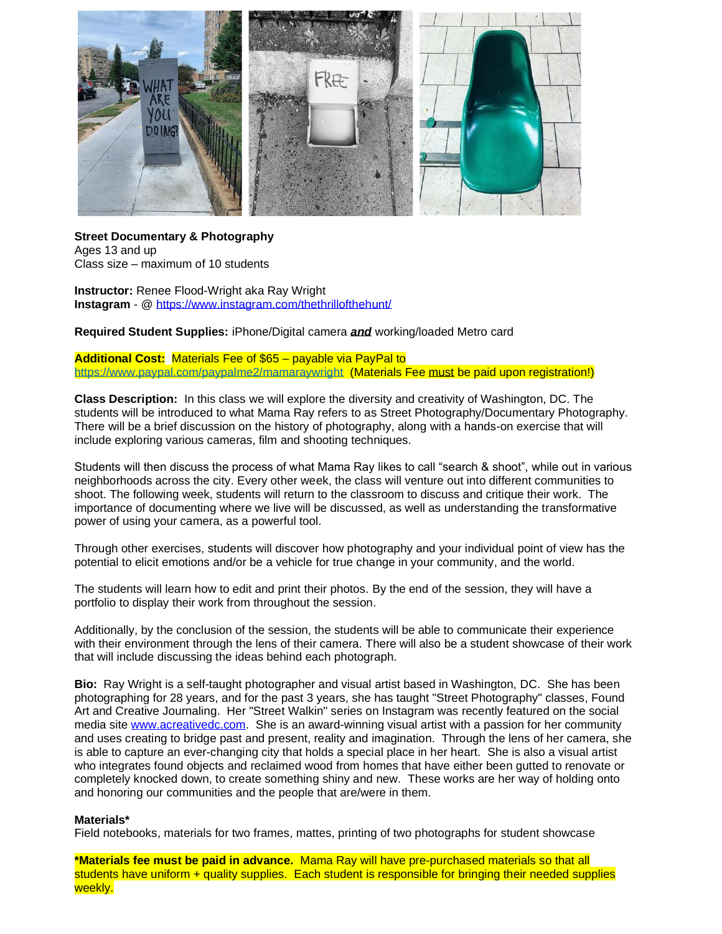

**Street Documentary & Photography** Ages 13 and up Class size – maximum of 10 students

**Instructor:** Renee Flood-Wright aka Ray Wright **Instagram** - @ <https://www.instagram.com/thethrillofthehunt/>

**Required Student Supplies:** iPhone/Digital camera *and* working/loaded Metro card

**Additional Cost:** Materials Fee of \$65 – payable via PayPal to <https://www.paypal.com/paypalme2/mamaraywright>(Materials Fee must be paid upon registration!)

**Class Description:** In this class we will explore the diversity and creativity of Washington, DC. The students will be introduced to what Mama Ray refers to as Street Photography/Documentary Photography. There will be a brief discussion on the history of photography, along with a hands-on exercise that will include exploring various cameras, film and shooting techniques.

Students will then discuss the process of what Mama Ray likes to call "search & shoot", while out in various neighborhoods across the city. Every other week, the class will venture out into different communities to shoot. The following week, students will return to the classroom to discuss and critique their work. The importance of documenting where we live will be discussed, as well as understanding the transformative power of using your camera, as a powerful tool.

Through other exercises, students will discover how photography and your individual point of view has the potential to elicit emotions and/or be a vehicle for true change in your community, and the world.

The students will learn how to edit and print their photos. By the end of the session, they will have a portfolio to display their work from throughout the session.

Additionally, by the conclusion of the session, the students will be able to communicate their experience with their environment through the lens of their camera. There will also be a student showcase of their work that will include discussing the ideas behind each photograph.

**Bio:** Ray Wright is a self-taught photographer and visual artist based in Washington, DC. She has been photographing for 28 years, and for the past 3 years, she has taught "Street Photography" classes, Found Art and Creative Journaling. Her "Street Walkin" series on Instagram was recently featured on the social media site [www.acreativedc.com.](http://www.acreativedc.com/) She is an award-winning visual artist with a passion for her community and uses creating to bridge past and present, reality and imagination. Through the lens of her camera, she is able to capture an ever-changing city that holds a special place in her heart. She is also a visual artist who integrates found objects and reclaimed wood from homes that have either been gutted to renovate or completely knocked down, to create something shiny and new. These works are her way of holding onto and honoring our communities and the people that are/were in them.

#### **Materials\***

Field notebooks, materials for two frames, mattes, printing of two photographs for student showcase

**\*Materials fee must be paid in advance.** Mama Ray will have pre-purchased materials so that all students have uniform + quality supplies. Each student is responsible for bringing their needed supplies weekly.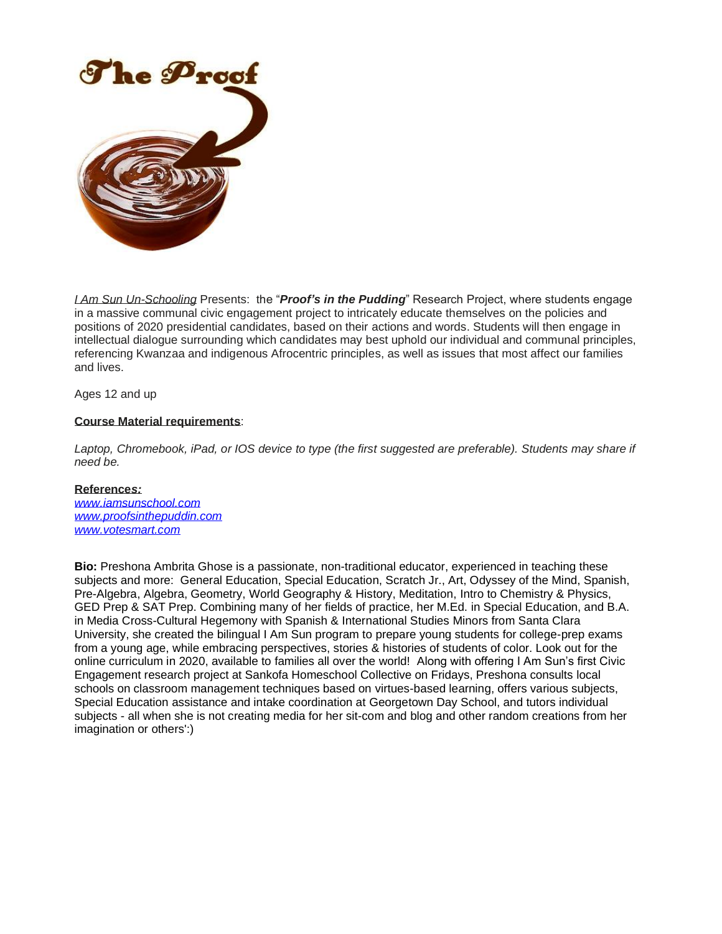

*I Am Sun Un-Schooling* Presents: the "*Proof's in the Pudding*" Research Project, where students engage in a massive communal civic engagement project to intricately educate themselves on the policies and positions of 2020 presidential candidates, based on their actions and words. Students will then engage in intellectual dialogue surrounding which candidates may best uphold our individual and communal principles, referencing Kwanzaa and indigenous Afrocentric principles, as well as issues that most affect our families and lives.

Ages 12 and up

#### **Course Material requirements**:

Laptop, Chromebook, iPad, or IOS device to type (the first suggested are preferable). Students may share if *need be.*

#### **Reference***s:*

*[www.iamsunschool.com](http://www.iamsunschool.com/) [www.proofsinthepuddin.com](https://mailtrack.io/trace/link/7818e0ff605d084169b07e626c3929ab72f7dca2?url=https%3A%2F%2Fnam12.safelinks.protection.outlook.com%2F%3Furl%3Dhttps%253A%252F%252Fmailtrack.io%252Ftrace%252Flink%252F92b01c50f33fdce80d7d9be16c9453830b4210c4%253Furl%253Dhttps%25253A%25252F%25252Feur04.safelinks.protection.outlook.com%25252F%25253Furl%25253Dhttp%2525253A%2525252F%2525252Fwww.proofsinthepuddin.com%252526data%25253D02%2525257C01%2525257C%2525257Ca84e4e67c5f64f4684c408d743613e03%2525257C84df9e7fe9f640afb435aaaaaaaaaaaa%2525257C1%2525257C0%2525257C637051957261264493%252526sdata%25253D8yy48xho9N17k7e%2525252Fhqxy8TXr5ml8R%2525252BEbd5ZGod2fpbk%2525253D%252526reserved%25253D0%2526userId%253D1431013%2526signature%253D8d6d3564c24d10d2%26data%3D02%257C01%257C%257C15b76d6248d74c3cf6a308d7436aef33%257C84df9e7fe9f640afb435aaaaaaaaaaaa%257C1%257C0%257C637051998869863972%26sdata%3DT4m7f0ilTD6rfQUQu7Z0Ol8HYhr1yVVLMoygPdNM%252B%252BA%253D%26reserved%3D0&userId=1431013&signature=8b934dda857da0bd) [www.votesmart.com](https://mailtrack.io/trace/link/8cd1e56fa3d3cd49a3dd21675e7dc7900bf61ddc?url=https%3A%2F%2Fnam12.safelinks.protection.outlook.com%2F%3Furl%3Dhttps%253A%252F%252Fmailtrack.io%252Ftrace%252Flink%252F3101e9de9531c96a59266398f29648cb45f70a2b%253Furl%253Dhttps%25253A%25252F%25252Feur04.safelinks.protection.outlook.com%25252F%25253Furl%25253Dhttp%2525253A%2525252F%2525252Fwww.votesmart.com%252526data%25253D02%2525257C01%2525257C%2525257Ca84e4e67c5f64f4684c408d743613e03%2525257C84df9e7fe9f640afb435aaaaaaaaaaaa%2525257C1%2525257C0%2525257C637051957261274502%252526sdata%25253DISOlSKeB0qo9NfjdnWaMPicyQCGwofZUJ01D0q71hMQ%2525253D%252526reserved%25253D0%2526userId%253D1431013%2526signature%253D6ed5ac7949789eb4%26data%3D02%257C01%257C%257C15b76d6248d74c3cf6a308d7436aef33%257C84df9e7fe9f640afb435aaaaaaaaaaaa%257C1%257C0%257C637051998869873972%26sdata%3DN9w6NUZ2zZ0vKco%252BD6g%252FfY1Z%252Be%252B3JCch6Y9kLvjLp7Q%253D%26reserved%3D0&userId=1431013&signature=3c95731264d20fb9)*

**Bio:** Preshona Ambrita Ghose is a passionate, non-traditional educator, experienced in teaching these subjects and more: General Education, Special Education, Scratch Jr., Art, Odyssey of the Mind, Spanish, Pre-Algebra, Algebra, Geometry, World Geography & History, Meditation, Intro to Chemistry & Physics, GED Prep & SAT Prep. Combining many of her fields of practice, her M.Ed. in Special Education, and B.A. in Media Cross-Cultural Hegemony with Spanish & International Studies Minors from Santa Clara University, she created the bilingual I Am Sun program to prepare young students for college-prep exams from a young age, while embracing perspectives, stories & histories of students of color. Look out for the online curriculum in 2020, available to families all over the world! Along with offering I Am Sun's first Civic Engagement research project at Sankofa Homeschool Collective on Fridays, Preshona consults local schools on classroom management techniques based on virtues-based learning, offers various subjects, Special Education assistance and intake coordination at Georgetown Day School, and tutors individual subjects - all when she is not creating media for her sit-com and blog and other random creations from her imagination or others':)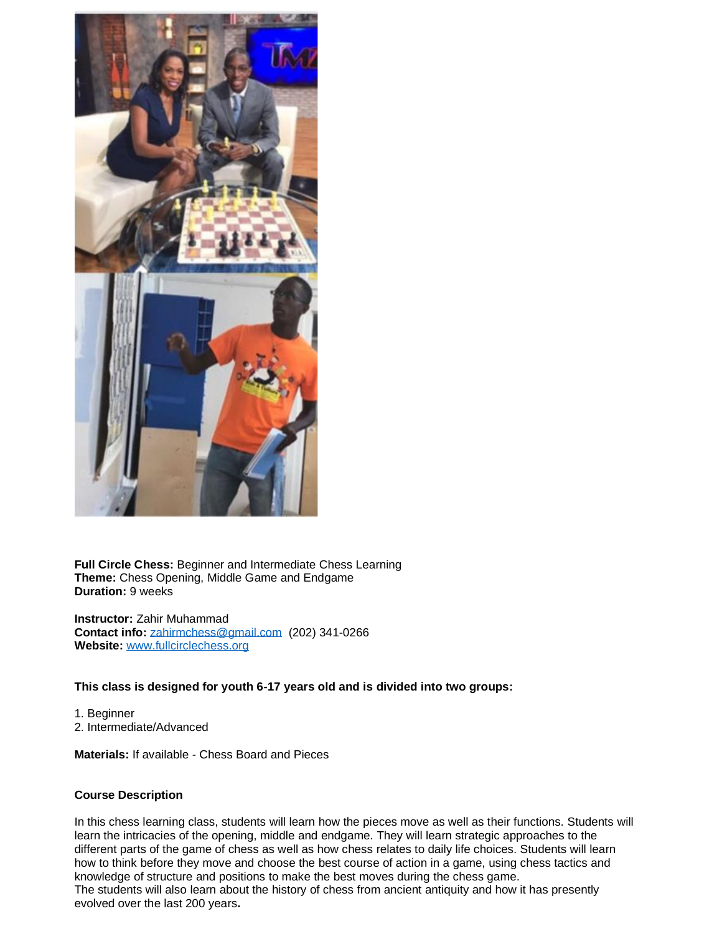

**Full Circle Chess:** Beginner and Intermediate Chess Learning **Theme:** Chess Opening, Middle Game and Endgame **Duration:** 9 weeks

**Instructor:** Zahir Muhammad **Contact info:** [zahirmchess@gmail.com](mailto:zahirmchess@gmail.com) (202) 341-0266 **Website:** [www.fullcirclechess.org](http://www.fullcirclechess.org/)

#### **This class is designed for youth 6-17 years old and is divided into two groups:**

1. Beginner 2. Intermediate/Advanced

**Materials:** If available - Chess Board and Pieces

#### **Course Description**

In this chess learning class, students will learn how the pieces move as well as their functions. Students will learn the intricacies of the opening, middle and endgame. They will learn strategic approaches to the different parts of the game of chess as well as how chess relates to daily life choices. Students will learn how to think before they move and choose the best course of action in a game, using chess tactics and knowledge of structure and positions to make the best moves during the chess game. The students will also learn about the history of chess from ancient antiquity and how it has presently evolved over the last 200 years**.**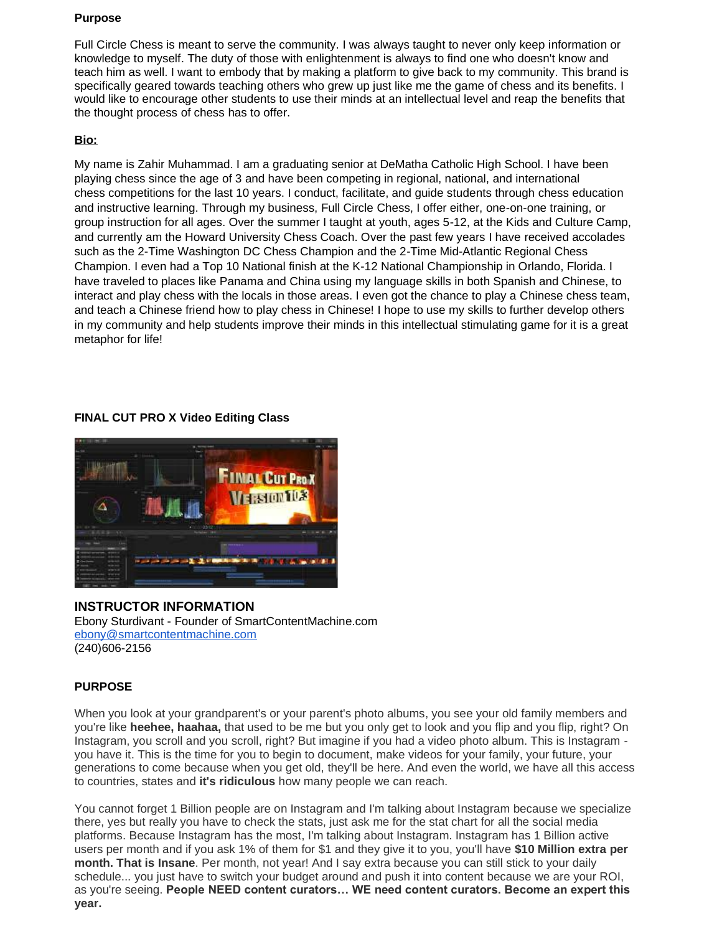#### **Purpose**

Full Circle Chess is meant to serve the community. I was always taught to never only keep information or knowledge to myself. The duty of those with enlightenment is always to find one who doesn't know and teach him as well. I want to embody that by making a platform to give back to my community. This brand is specifically geared towards teaching others who grew up just like me the game of chess and its benefits. I would like to encourage other students to use their minds at an intellectual level and reap the benefits that the thought process of chess has to offer.

# **Bio:**

My name is Zahir Muhammad. I am a graduating senior at DeMatha Catholic High School. I have been playing chess since the age of 3 and have been competing in regional, national, and international chess competitions for the last 10 years. I conduct, facilitate, and guide students through chess education and instructive learning. Through my business, Full Circle Chess, I offer either, one-on-one training, or group instruction for all ages. Over the summer I taught at youth, ages 5-12, at the Kids and Culture Camp, and currently am the Howard University Chess Coach. Over the past few years I have received accolades such as the 2-Time Washington DC Chess Champion and the 2-Time Mid-Atlantic Regional Chess Champion. I even had a Top 10 National finish at the K-12 National Championship in Orlando, Florida. I have traveled to places like Panama and China using my language skills in both Spanish and Chinese, to interact and play chess with the locals in those areas. I even got the chance to play a Chinese chess team, and teach a Chinese friend how to play chess in Chinese! I hope to use my skills to further develop others in my community and help students improve their minds in this intellectual stimulating game for it is a great metaphor for life!

# **FINAL CUT PRO X Video Editing Class**



# **INSTRUCTOR INFORMATION**

Ebony Sturdivant - Founder of SmartContentMachine.com [ebony@smartcontentmachine.com](mailto:ebony@smartcontentmachine.com) (240)606-2156

# **PURPOSE**

When you look at your grandparent's or your parent's photo albums, you see your old family members and you're like **heehee, haahaa,** that used to be me but you only get to look and you flip and you flip, right? On Instagram, you scroll and you scroll, right? But imagine if you had a video photo album. This is Instagram you have it. This is the time for you to begin to document, make videos for your family, your future, your generations to come because when you get old, they'll be here. And even the world, we have all this access to countries, states and **it's ridiculous** how many people we can reach.

You cannot forget 1 Billion people are on Instagram and I'm talking about Instagram because we specialize there, yes but really you have to check the stats, just ask me for the stat chart for all the social media platforms. Because Instagram has the most, I'm talking about Instagram. Instagram has 1 Billion active users per month and if you ask 1% of them for \$1 and they give it to you, you'll have **\$10 Million extra per month. That is Insane**. Per month, not year! And I say extra because you can still stick to your daily schedule... you just have to switch your budget around and push it into content because we are your ROI, as you're seeing. **People NEED content curators… WE need content curators. Become an expert this year.**